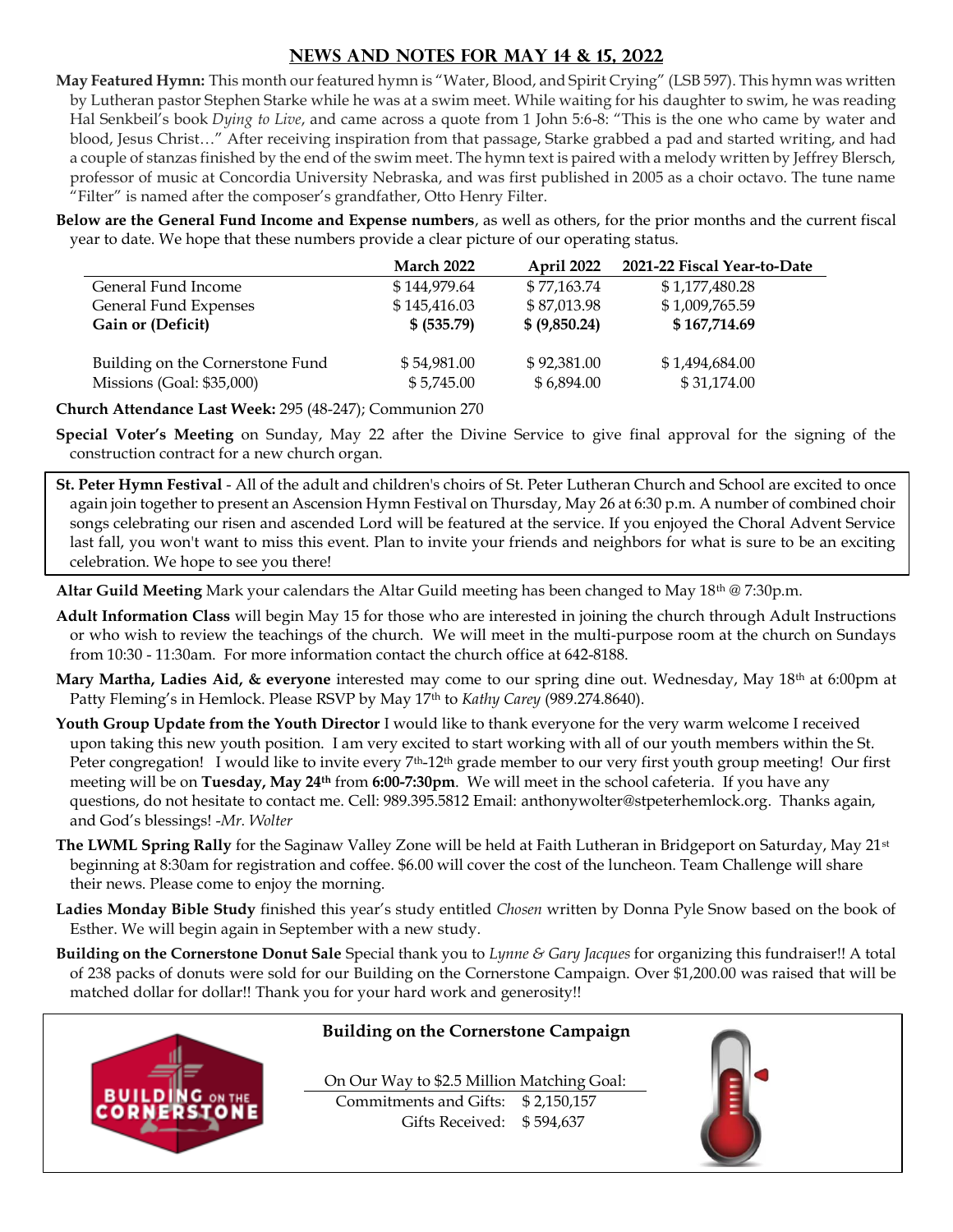## **NEWS AND NOTES for MAY 14 & 15, 2022**

**May Featured Hymn:** This month our featured hymn is "Water, Blood, and Spirit Crying" (LSB 597). This hymn was written by Lutheran pastor Stephen Starke while he was at a swim meet. While waiting for his daughter to swim, he was reading Hal Senkbeil's book *Dying to Live*, and came across a quote from 1 John 5:6-8: "This is the one who came by water and blood, Jesus Christ…" After receiving inspiration from that passage, Starke grabbed a pad and started writing, and had a couple of stanzas finished by the end of the swim meet. The hymn text is paired with a melody written by Jeffrey Blersch, professor of music at Concordia University Nebraska, and was first published in 2005 as a choir octavo. The tune name "Filter" is named after the composer's grandfather, Otto Henry Filter.

**Below are the General Fund Income and Expense numbers**, as well as others, for the prior months and the current fiscal year to date. We hope that these numbers provide a clear picture of our operating status.

|                                  | <b>March 2022</b> | April 2022    | 2021-22 Fiscal Year-to-Date |
|----------------------------------|-------------------|---------------|-----------------------------|
| General Fund Income              | \$144,979.64      | \$77,163.74   | \$1,177,480.28              |
| General Fund Expenses            | \$145,416.03      | \$87,013.98   | \$1,009,765.59              |
| Gain or (Deficit)                | \$ (535.79)       | \$ (9,850.24) | \$167,714.69                |
| Building on the Cornerstone Fund | \$54,981.00       | \$92,381.00   | \$1,494,684.00              |
| Missions (Goal: \$35,000)        | \$5,745.00        | \$6,894.00    | \$31,174.00                 |
|                                  |                   |               |                             |

**Church Attendance Last Week:** 295 (48-247); Communion 270

**Special Voter's Meeting** on Sunday, May 22 after the Divine Service to give final approval for the signing of the construction contract for a new church organ.

**St. Peter Hymn Festival** - All of the adult and children's choirs of St. Peter Lutheran Church and School are excited to once again join together to present an Ascension Hymn Festival on Thursday, May 26 at 6:30 p.m. A number of combined choir songs celebrating our risen and ascended Lord will be featured at the service. If you enjoyed the Choral Advent Service last fall, you won't want to miss this event. Plan to invite your friends and neighbors for what is sure to be an exciting celebration. We hope to see you there!

**Altar Guild Meeting** Mark your calendars the Altar Guild meeting has been changed to May 18th @ 7:30p.m.

- **Adult Information Class** will begin May 15 for those who are interested in joining the church through Adult Instructions or who wish to review the teachings of the church. We will meet in the multi-purpose room at the church on Sundays from 10:30 - 11:30am. For more information contact the church office at 642-8188.
- **Mary Martha, Ladies Aid, & everyone** interested may come to our spring dine out. Wednesday, May 18th at 6:00pm at Patty Fleming's in Hemlock. Please RSVP by May 17th to *Kathy Carey* (989.274.8640).
- **Youth Group Update from the Youth Director** I would like to thank everyone for the very warm welcome I received upon taking this new youth position. I am very excited to start working with all of our youth members within the St. Peter congregation! I would like to invite every 7<sup>th</sup>-12<sup>th</sup> grade member to our very first youth group meeting! Our first meeting will be on **Tuesday, May 24th** from **6:00-7:30pm**. We will meet in the school cafeteria. If you have any questions, do not hesitate to contact me. Cell: 989.395.5812 Email: anthonywolter@stpeterhemlock.org. Thanks again, and God's blessings! -*Mr. Wolter*
- **The LWML Spring Rally** for the Saginaw Valley Zone will be held at Faith Lutheran in Bridgeport on Saturday, May 21st beginning at 8:30am for registration and coffee. \$6.00 will cover the cost of the luncheon. Team Challenge will share their news. Please come to enjoy the morning.
- **Ladies Monday Bible Study** finished this year's study entitled *Chosen* written by Donna Pyle Snow based on the book of Esther. We will begin again in September with a new study.
- **Building on the Cornerstone Donut Sale** Special thank you to *Lynne & Gary Jacques* for organizing this fundraiser!! A total of 238 packs of donuts were sold for our Building on the Cornerstone Campaign. Over \$1,200.00 was raised that will be matched dollar for dollar!! Thank you for your hard work and generosity!!



## **Building on the Cornerstone Campaign**

On Our Way to \$2.5 Million Matching Goal: Commitments and Gifts: \$ 2,150,157 Gifts Received: \$ 594,637